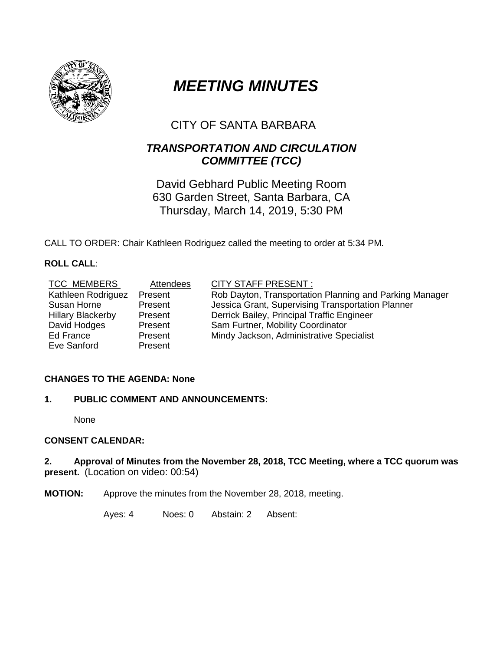

# *MEETING MINUTES*

# CITY OF SANTA BARBARA

# *TRANSPORTATION AND CIRCULATION COMMITTEE (TCC)*

David Gebhard Public Meeting Room 630 Garden Street, Santa Barbara, CA Thursday, March 14, 2019, 5:30 PM

CALL TO ORDER: Chair Kathleen Rodriguez called the meeting to order at 5:34 PM.

# **ROLL CALL**:

| <b>TCC MEMBERS</b>       | Attendees | <b>CITY STAFF PRESENT:</b>                              |
|--------------------------|-----------|---------------------------------------------------------|
| Kathleen Rodriguez       | Present   | Rob Dayton, Transportation Planning and Parking Manager |
| Susan Horne              | Present   | Jessica Grant, Supervising Transportation Planner       |
| <b>Hillary Blackerby</b> | Present   | Derrick Bailey, Principal Traffic Engineer              |
| David Hodges             | Present   | Sam Furtner, Mobility Coordinator                       |
| Ed France                | Present   | Mindy Jackson, Administrative Specialist                |
| Eve Sanford              | Present   |                                                         |

# **CHANGES TO THE AGENDA: None**

# **1. PUBLIC COMMENT AND ANNOUNCEMENTS:**

None

# **CONSENT CALENDAR:**

### **2. Approval of Minutes from the November 28, 2018, TCC Meeting, where a TCC quorum was present.** (Location on video: 00:54)

**MOTION:** Approve the minutes from the November 28, 2018, meeting.

Ayes: 4 Noes: 0 Abstain: 2 Absent: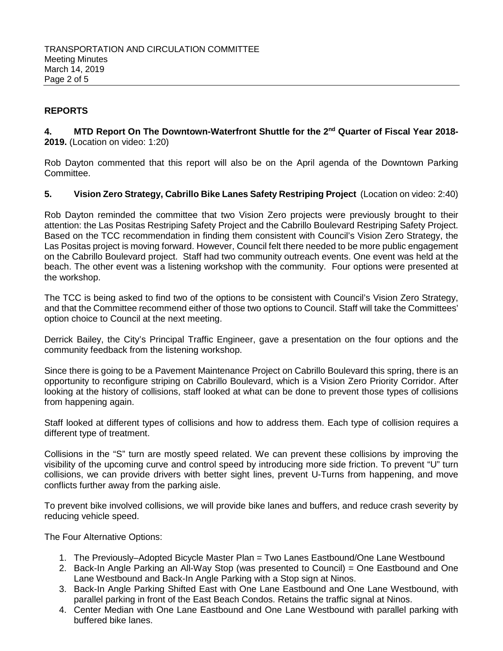# **REPORTS**

**4. MTD Report On The Downtown-Waterfront Shuttle for the 2nd Quarter of Fiscal Year 2018- 2019.** (Location on video: 1:20)

Rob Dayton commented that this report will also be on the April agenda of the Downtown Parking Committee.

### **5. Vision Zero Strategy, Cabrillo Bike Lanes Safety Restriping Project** (Location on video: 2:40)

Rob Dayton reminded the committee that two Vision Zero projects were previously brought to their attention: the Las Positas Restriping Safety Project and the Cabrillo Boulevard Restriping Safety Project. Based on the TCC recommendation in finding them consistent with Council's Vision Zero Strategy, the Las Positas project is moving forward. However, Council felt there needed to be more public engagement on the Cabrillo Boulevard project. Staff had two community outreach events. One event was held at the beach. The other event was a listening workshop with the community. Four options were presented at the workshop.

The TCC is being asked to find two of the options to be consistent with Council's Vision Zero Strategy, and that the Committee recommend either of those two options to Council. Staff will take the Committees' option choice to Council at the next meeting.

Derrick Bailey, the City's Principal Traffic Engineer, gave a presentation on the four options and the community feedback from the listening workshop.

Since there is going to be a Pavement Maintenance Project on Cabrillo Boulevard this spring, there is an opportunity to reconfigure striping on Cabrillo Boulevard, which is a Vision Zero Priority Corridor. After looking at the history of collisions, staff looked at what can be done to prevent those types of collisions from happening again.

Staff looked at different types of collisions and how to address them. Each type of collision requires a different type of treatment.

Collisions in the "S" turn are mostly speed related. We can prevent these collisions by improving the visibility of the upcoming curve and control speed by introducing more side friction. To prevent "U" turn collisions, we can provide drivers with better sight lines, prevent U-Turns from happening, and move conflicts further away from the parking aisle.

To prevent bike involved collisions, we will provide bike lanes and buffers, and reduce crash severity by reducing vehicle speed.

The Four Alternative Options:

- 1. The Previously–Adopted Bicycle Master Plan = Two Lanes Eastbound/One Lane Westbound
- 2. Back-In Angle Parking an All-Way Stop (was presented to Council) = One Eastbound and One Lane Westbound and Back-In Angle Parking with a Stop sign at Ninos.
- 3. Back-In Angle Parking Shifted East with One Lane Eastbound and One Lane Westbound, with parallel parking in front of the East Beach Condos. Retains the traffic signal at Ninos.
- 4. Center Median with One Lane Eastbound and One Lane Westbound with parallel parking with buffered bike lanes.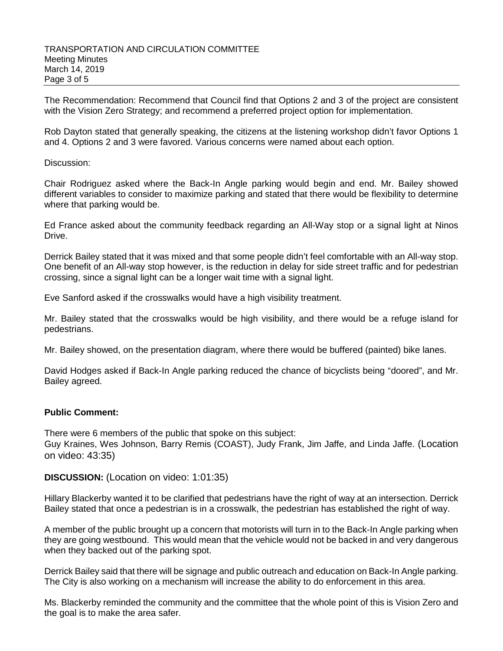The Recommendation: Recommend that Council find that Options 2 and 3 of the project are consistent with the Vision Zero Strategy; and recommend a preferred project option for implementation.

Rob Dayton stated that generally speaking, the citizens at the listening workshop didn't favor Options 1 and 4. Options 2 and 3 were favored. Various concerns were named about each option.

#### Discussion:

Chair Rodriguez asked where the Back-In Angle parking would begin and end. Mr. Bailey showed different variables to consider to maximize parking and stated that there would be flexibility to determine where that parking would be.

Ed France asked about the community feedback regarding an All-Way stop or a signal light at Ninos Drive.

Derrick Bailey stated that it was mixed and that some people didn't feel comfortable with an All-way stop. One benefit of an All-way stop however, is the reduction in delay for side street traffic and for pedestrian crossing, since a signal light can be a longer wait time with a signal light.

Eve Sanford asked if the crosswalks would have a high visibility treatment.

Mr. Bailey stated that the crosswalks would be high visibility, and there would be a refuge island for pedestrians.

Mr. Bailey showed, on the presentation diagram, where there would be buffered (painted) bike lanes.

David Hodges asked if Back-In Angle parking reduced the chance of bicyclists being "doored", and Mr. Bailey agreed.

#### **Public Comment:**

There were 6 members of the public that spoke on this subject: Guy Kraines, Wes Johnson, Barry Remis (COAST), Judy Frank, Jim Jaffe, and Linda Jaffe. (Location on video: 43:35)

**DISCUSSION:** (Location on video: 1:01:35)

Hillary Blackerby wanted it to be clarified that pedestrians have the right of way at an intersection. Derrick Bailey stated that once a pedestrian is in a crosswalk, the pedestrian has established the right of way.

A member of the public brought up a concern that motorists will turn in to the Back-In Angle parking when they are going westbound. This would mean that the vehicle would not be backed in and very dangerous when they backed out of the parking spot.

Derrick Bailey said that there will be signage and public outreach and education on Back-In Angle parking. The City is also working on a mechanism will increase the ability to do enforcement in this area.

Ms. Blackerby reminded the community and the committee that the whole point of this is Vision Zero and the goal is to make the area safer.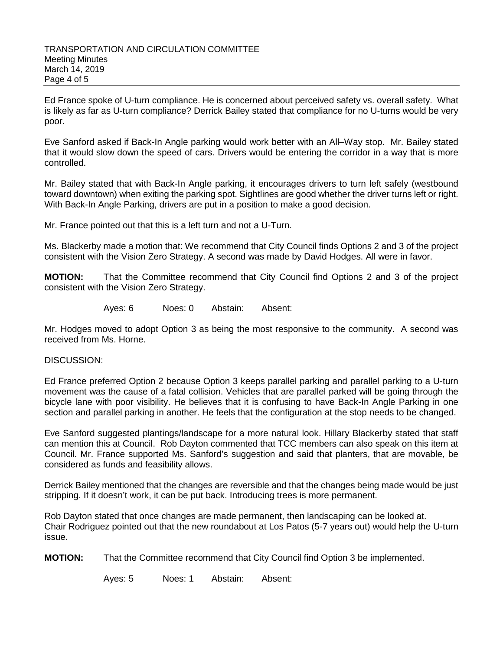Ed France spoke of U-turn compliance. He is concerned about perceived safety vs. overall safety. What is likely as far as U-turn compliance? Derrick Bailey stated that compliance for no U-turns would be very poor.

Eve Sanford asked if Back-In Angle parking would work better with an All–Way stop. Mr. Bailey stated that it would slow down the speed of cars. Drivers would be entering the corridor in a way that is more controlled.

Mr. Bailey stated that with Back-In Angle parking, it encourages drivers to turn left safely (westbound toward downtown) when exiting the parking spot. Sightlines are good whether the driver turns left or right. With Back-In Angle Parking, drivers are put in a position to make a good decision.

Mr. France pointed out that this is a left turn and not a U-Turn.

Ms. Blackerby made a motion that: We recommend that City Council finds Options 2 and 3 of the project consistent with the Vision Zero Strategy. A second was made by David Hodges. All were in favor.

**MOTION:** That the Committee recommend that City Council find Options 2 and 3 of the project consistent with the Vision Zero Strategy.

Ayes: 6 Noes: 0 Abstain: Absent:

Mr. Hodges moved to adopt Option 3 as being the most responsive to the community. A second was received from Ms. Horne.

#### DISCUSSION:

Ed France preferred Option 2 because Option 3 keeps parallel parking and parallel parking to a U-turn movement was the cause of a fatal collision. Vehicles that are parallel parked will be going through the bicycle lane with poor visibility. He believes that it is confusing to have Back-In Angle Parking in one section and parallel parking in another. He feels that the configuration at the stop needs to be changed.

Eve Sanford suggested plantings/landscape for a more natural look. Hillary Blackerby stated that staff can mention this at Council. Rob Dayton commented that TCC members can also speak on this item at Council. Mr. France supported Ms. Sanford's suggestion and said that planters, that are movable, be considered as funds and feasibility allows.

Derrick Bailey mentioned that the changes are reversible and that the changes being made would be just stripping. If it doesn't work, it can be put back. Introducing trees is more permanent.

Rob Dayton stated that once changes are made permanent, then landscaping can be looked at. Chair Rodriguez pointed out that the new roundabout at Los Patos (5-7 years out) would help the U-turn issue.

**MOTION:** That the Committee recommend that City Council find Option 3 be implemented.

Ayes: 5 Noes: 1 Abstain: Absent: